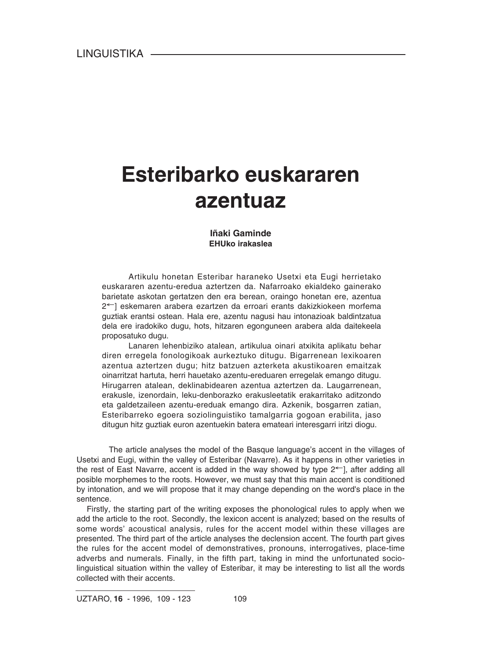# **Esteribarko euskararen azentuaz**

#### **Iñaki Gaminde EHUko irakaslea**

Artikulu honetan Esteribar haraneko Usetxi eta Eugi herrietako euskararen azentu-eredua aztertzen da. Nafarroako ekialdeko gainerako barietate askotan gertatzen den era berean, oraingo honetan ere, azentua 2←] eskemaren arabera ezartzen da erroari erants dakizkiokeen morfema guztiak erantsi ostean. Hala ere, azentu nagusi hau intonazioak baldintzatua dela ere iradokiko dugu, hots, hitzaren egonguneen arabera alda daitekeela proposatuko dugu.

Lanaren lehenbiziko atalean, artikulua oinari atxikita aplikatu behar diren erregela fonologikoak aurkeztuko ditugu. Bigarrenean lexikoaren azentua aztertzen dugu; hitz batzuen azterketa akustikoaren emaitzak oinarritzat hartuta, herri hauetako azentu-ereduaren erregelak emango ditugu. Hirugarren atalean, deklinabidearen azentua aztertzen da. Laugarrenean, erakusle, izenordain, leku-denborazko erakusleetatik erakarritako aditzondo eta galdetzaileen azentu-ereduak emango dira. Azkenik, bosgarren zatian, Esteribarreko egoera soziolinguistiko tamalgarria gogoan erabilita, jaso ditugun hitz guztiak euron azentuekin batera emateari interesgarri iritzi diogu.

The article analyses the model of the Basque language's accent in the villages of Usetxi and Eugi, within the valley of Esteribar (Navarre). As it happens in other varieties in the rest of East Navarre, accent is added in the way showed by type 2←], after adding all posible morphemes to the roots. However, we must say that this main accent is conditioned by intonation, and we will propose that it may change depending on the word's place in the sentence.

Firstly, the starting part of the writing exposes the phonological rules to apply when we add the article to the root. Secondly, the lexicon accent is analyzed; based on the results of some words' acoustical analysis, rules for the accent model within these villages are presented. The third part of the article analyses the declension accent. The fourth part gives the rules for the accent model of demonstratives, pronouns, interrogatives, place-time adverbs and numerals. Finally, in the fifth part, taking in mind the unfortunated sociolinguistical situation within the valley of Esteribar, it may be interesting to list all the words collected with their accents.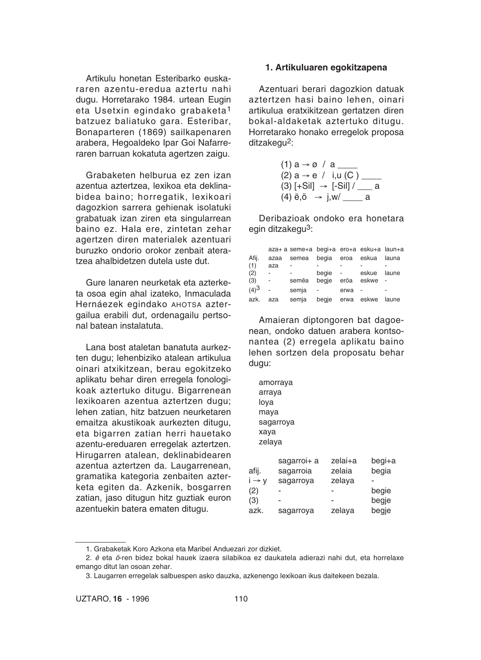Artikulu honetan Esteribarko euskararen azentu-eredua aztertu nahi dugu. Horretarako 1984. urtean Eugin eta Usetxin egindako grabaketa1 batzuez baliatuko gara. Esteribar, Bonaparteren (1869) sailkapenaren arabera, Hegoaldeko Ipar Goi Nafarreraren barruan kokatuta agertzen zaigu.

Grabaketen helburua ez zen izan azentua aztertzea, lexikoa eta deklinabidea baino; horregatik, lexikoari dagozkion sarrera gehienak isolatuki grabatuak izan ziren eta singularrean baino ez. Hala ere, zintetan zehar agertzen diren materialek azentuari buruzko ondorio orokor zenbait ateratzea ahalbidetzen dutela uste dut.

Gure lanaren neurketak eta azterketa osoa egin ahal izateko, Inmaculada Hernáezek egindako AHOTSA aztergailua erabili dut, ordenagailu pertsonal batean instalatuta.

Lana bost ataletan banatuta aurkezten dugu; lehenbiziko atalean artikulua oinari atxikitzean, berau egokitzeko aplikatu behar diren erregela fonologikoak aztertuko ditugu. Bigarrenean lexikoaren azentua aztertzen dugu; lehen zatian, hitz batzuen neurketaren emaitza akustikoak aurkezten ditugu, eta bigarren zatian herri hauetako azentu-ereduaren erregelak aztertzen. Hirugarren atalean, deklinabidearen azentua aztertzen da. Laugarrenean, gramatika kategoria zenbaiten azterketa egiten da. Azkenik, bosgarren zatian, jaso ditugun hitz guztiak euron azentuekin batera ematen ditugu.

#### **1. Artikuluaren egokitzapena**

Azentuari berari dagozkion datuak aztertzen hasi baino lehen, oinari artikulua eratxikitzean gertatzen diren bokal-aldaketak aztertuko ditugu. Horretarako honako erregelok proposa ditzakegu<sup>2</sup>:

(1) a → ø / a \_\_\_\_ (2) a → e / i,u (C ) \_\_\_\_ (3) [+Sil] → [-Sil] / \_\_\_ a (4) ë,ö → j,w/ \_\_\_\_ a

Deribazioak ondoko era honetara egin ditzakegu<sup>3</sup>:

|         |      | aza+ a seme+a begi+a ero+a esku+a laun+a |                  |                 |       |       |
|---------|------|------------------------------------------|------------------|-----------------|-------|-------|
| Afij.   | azaa | semea                                    | begia eroa eskua |                 |       | launa |
| (1)     | aza  |                                          |                  |                 |       |       |
| (2)     |      |                                          | beaie            | $\sim 10^{-11}$ | eskue | laune |
| (3)     | ÷,   | semëa                                    | begje            | eröa            | eskwe |       |
| $(4)^3$ | L.   | semja                                    |                  | erwa            |       |       |
| azk.    | aza  | semja                                    | begje erwa eskwe |                 |       | laune |

Amaieran diptongoren bat dagoenean, ondoko datuen arabera kontsonantea (2) erregela aplikatu baino lehen sortzen dela proposatu behar dugu:

|                   | amorraya    |         |       |
|-------------------|-------------|---------|-------|
| arraya            |             |         |       |
| loya              |             |         |       |
| maya              |             |         |       |
|                   | sagarroya   |         |       |
| xaya              |             |         |       |
| zelava            |             |         |       |
|                   |             |         |       |
|                   | sagarroi+ a | zelai+a | begi+ |
| afij.             | sagarroia   | zelaia  | begia |
| $i \rightarrow v$ | sagarrova   | zelava  |       |

| i → v | sagarroya | zelaya | ۰     |
|-------|-----------|--------|-------|
| (2)   |           |        | begie |
| (3)   |           |        | begje |
| azk.  | sagarroya | zelaya | begje |

begi+a

<sup>1.</sup> Grabaketak Koro Azkona eta Maribel Anduezari zor dizkiet.

<sup>2.</sup> *ë* eta *ö*-ren bidez bokal hauek izaera silabikoa ez daukatela adierazi nahi dut, eta horrelaxe emango ditut lan osoan zehar.

<sup>3.</sup> Laugarren erregelak salbuespen asko dauzka, azkenengo lexikoan ikus daitekeen bezala.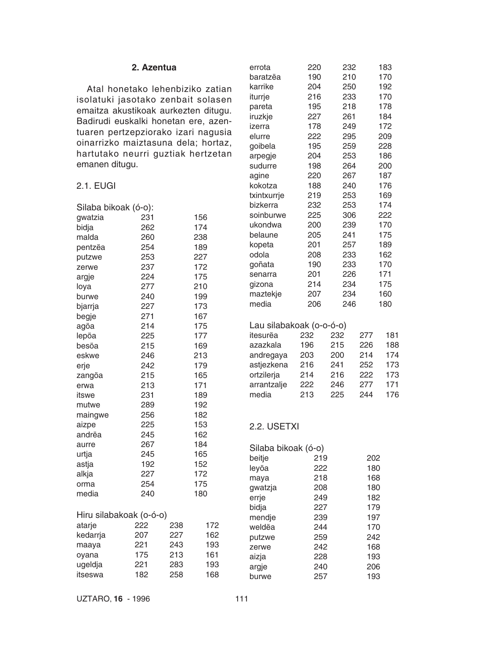#### **2. Azentua**

Atal honetako lehenbiziko zatian isolatuki jasotako zenbait solasen emaitza akustikoak aurkezten ditugu. Badirudi euskalki honetan ere, azentuaren pertzepziorako izari nagusia oinarrizko maiztasuna dela; hortaz, hartutako neurri guztiak hertzetan emanen ditugu.

#### 2.1. EUGI

| Silaba bikoak (ó-o):    |     |     |     |
|-------------------------|-----|-----|-----|
| gwatzia                 | 231 |     | 156 |
| bidja                   | 262 |     | 174 |
| malda                   | 260 |     | 238 |
| pentzëa                 | 254 |     | 189 |
| putzwe                  | 253 |     | 227 |
| zerwe                   | 237 |     | 172 |
| argje                   | 224 |     | 175 |
| loya                    | 277 |     | 210 |
| burwe                   | 240 |     | 199 |
| bjarrja                 | 227 |     | 173 |
| begje                   | 271 |     | 167 |
| agöa                    | 214 |     | 175 |
| lepöa                   | 225 |     | 177 |
| besöa                   | 215 |     | 169 |
| eskwe                   | 246 |     | 213 |
| erje                    | 242 |     | 179 |
| zangöa                  | 215 |     | 165 |
| erwa                    | 213 |     | 171 |
| itswe                   | 231 |     | 189 |
| mutwe                   | 289 |     | 192 |
| maingwe                 | 256 |     | 182 |
| aizpe                   | 225 |     | 153 |
| andrëa                  | 245 |     | 162 |
| aurre                   | 267 |     | 184 |
| urtja                   | 245 |     | 165 |
| astja                   | 192 |     | 152 |
| alkja                   | 227 |     | 172 |
| orma                    | 254 |     | 175 |
| media                   | 240 |     | 180 |
| Hiru silabakoak (o-ó-o) |     |     |     |
| atarje                  | 222 | 238 | 172 |
| kedarrja                | 207 | 227 | 162 |
| maaya                   | 221 | 243 | 193 |
| oyana                   | 175 | 213 | 161 |
| ugeldja                 | 221 | 283 | 193 |
| itseswa                 | 182 | 258 | 168 |

| errota                                                                                                            | 220                                           | 232                                           |                                               | 183                                           |
|-------------------------------------------------------------------------------------------------------------------|-----------------------------------------------|-----------------------------------------------|-----------------------------------------------|-----------------------------------------------|
| baratzëa                                                                                                          | 190                                           | 210                                           |                                               | 170                                           |
| karrike                                                                                                           | 204                                           | 250                                           |                                               | 192                                           |
| iturrje                                                                                                           | 216                                           | 233                                           |                                               | 170                                           |
| pareta                                                                                                            | 195                                           | 218                                           |                                               | 178                                           |
| iruzkje                                                                                                           | 227                                           | 261                                           |                                               | 184                                           |
| izerra                                                                                                            | 178                                           | 249                                           |                                               | 172                                           |
| elurre                                                                                                            | 222                                           | 295                                           |                                               | 209                                           |
| goibela                                                                                                           | 195                                           | 259                                           |                                               | 228                                           |
| arpegje                                                                                                           | 204                                           | 253                                           |                                               | 186                                           |
| sudurre                                                                                                           | 198                                           | 264                                           |                                               | 200                                           |
| agine                                                                                                             | 220                                           | 267                                           |                                               | 187                                           |
| kokotza                                                                                                           | 188                                           | 240                                           |                                               | 176                                           |
| txintxurrje                                                                                                       | 219                                           | 253                                           |                                               | 169                                           |
| bizkerra                                                                                                          | 232                                           | 253                                           |                                               | 174                                           |
| soinburwe                                                                                                         | 225                                           | 306                                           |                                               | 222                                           |
| ukondwa                                                                                                           | 200                                           | 239                                           |                                               | 170                                           |
| belaune                                                                                                           | 205                                           | 241                                           |                                               | 175                                           |
| kopeta                                                                                                            | 201                                           | 257                                           |                                               | 189                                           |
| odola                                                                                                             | 208                                           | 233                                           |                                               | 162                                           |
| goñata                                                                                                            | 190                                           | 233                                           |                                               | 170                                           |
| senarra                                                                                                           | 201                                           | 226                                           |                                               | 171                                           |
| gizona                                                                                                            | 214                                           | 234                                           |                                               | 175                                           |
| maztekje                                                                                                          | 207                                           | 234                                           |                                               | 160                                           |
| media                                                                                                             | 206                                           | 246                                           |                                               | 180                                           |
| Lau silabakoak (o-o-ó-o)<br>itesurëa<br>azazkala<br>andregaya<br>astjezkena<br>ortzilerja<br>arrantzalje<br>media | 232<br>196<br>203<br>216<br>214<br>222<br>213 | 232<br>215<br>200<br>241<br>216<br>246<br>225 | 277<br>226<br>214<br>252<br>222<br>277<br>244 | 181<br>188<br>174<br>173<br>173<br>171<br>176 |
| 2.2. USETXI                                                                                                       |                                               |                                               |                                               |                                               |
| Silaba bikoak (ó-o)<br>beitje                                                                                     | 219                                           |                                               | 202                                           |                                               |
| leyöa                                                                                                             | 222                                           |                                               | 180                                           |                                               |
| maya                                                                                                              | 218                                           |                                               | 168                                           |                                               |
| gwatzja                                                                                                           | 208                                           |                                               | 180                                           |                                               |
| errje                                                                                                             | 249                                           |                                               | 182                                           |                                               |
| bidja                                                                                                             | 227                                           |                                               | 179                                           |                                               |
| mendje                                                                                                            | 239                                           |                                               | 197                                           |                                               |
| weldëa                                                                                                            | 244                                           |                                               | 170                                           |                                               |
| putzwe                                                                                                            | 259                                           |                                               | 242                                           |                                               |
| zerwe                                                                                                             | 242                                           |                                               | 168<br>193                                    |                                               |
| aizja                                                                                                             | 228<br>240                                    |                                               | 206                                           |                                               |
| argje<br>burwe                                                                                                    | 257                                           |                                               | 193                                           |                                               |
|                                                                                                                   |                                               |                                               |                                               |                                               |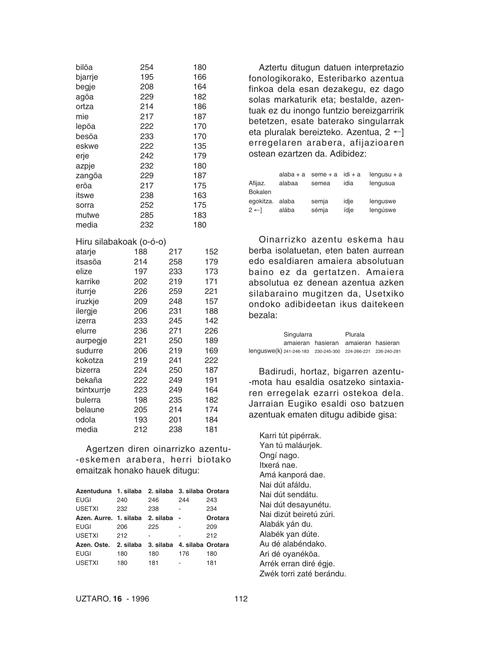| bilöa                   | 254 |     | 180 |
|-------------------------|-----|-----|-----|
| bjarrje                 | 195 |     | 166 |
| begje                   | 208 |     | 164 |
| agöa                    | 229 |     | 182 |
| ortza                   | 214 |     | 186 |
| mie                     | 217 |     | 187 |
| lepöa                   | 222 |     | 170 |
| besöa                   | 233 |     | 170 |
| eskwe                   | 222 |     | 135 |
| erje                    | 242 |     | 179 |
| azpje                   | 232 |     | 180 |
| zangöa                  | 229 |     | 187 |
| eröa                    | 217 |     | 175 |
| itswe                   | 238 |     | 163 |
| sorra                   | 252 |     | 175 |
| mutwe                   | 285 |     | 183 |
| media                   | 232 |     | 180 |
| Hiru silabakoak (o-ó-o) |     |     |     |
| atarje                  | 188 | 217 | 152 |
| itsasöa                 | 214 | 258 | 179 |
| elize                   | 197 | 233 | 173 |
| karrike                 | 202 | 219 | 171 |
| iturrje                 | 226 | 259 | 221 |
| iruzkje                 | 209 | 248 | 157 |
| ilergje                 | 206 | 231 | 188 |
| izerra                  | 233 | 245 | 142 |
| elurre                  | 236 | 271 | 226 |
| aurpegje                | 221 | 250 | 189 |
| sudurre                 | 206 | 219 | 169 |
| kokotza                 | 219 | 241 | 222 |
| bizerra                 | 224 | 250 | 187 |
| bekaña                  | 222 | 249 | 191 |
| txintxurrje             | 223 | 249 | 164 |
| bulerra                 | 198 | 235 | 182 |
| belaune                 | 205 | 214 | 174 |
| odola                   | 193 | 201 | 184 |
| media                   | 212 | 238 | 181 |

Agertzen diren oinarrizko azentu- -eskemen arabera, herri biotako emaitzak honako hauek ditugu:

| Azentuduna 1. silaba 2. silaba 3. silaba Orotara  |     |           |     |         |
|---------------------------------------------------|-----|-----------|-----|---------|
| <b>EUGI</b>                                       | 240 | 246       | 244 | 243     |
| <b>USETXI</b>                                     | 232 | 238       | ٠   | 234     |
| Azen, Aurre, 1. silaba                            |     | 2. silaba |     | Orotara |
| <b>EUGI</b>                                       | 206 | 225       |     | 209     |
| <b>USETXI</b>                                     | 212 |           |     | 212     |
| Azen, Oste. 2. silaba 3. silaba 4. silaba Orotara |     |           |     |         |
| <b>EUGI</b>                                       | 180 | 180       | 176 | 180     |
| <b>USETXI</b>                                     | 180 | 181       | -   | 181     |

Aztertu ditugun datuen interpretazio fonologikorako, Esteribarko azentua finkoa dela esan dezakegu, ez dago solas markaturik eta; bestalde, azentuak ez du inongo funtzio bereizgarririk betetzen, esate baterako singularrak eta pluralak bereizteko. Azentua, 2 ←] erregelaren arabera, afijazioaren ostean ezartzen da. Adibidez:

|                | alaba $+$ a | $seme + a$ | idi + a | $l$ enqusu + a |
|----------------|-------------|------------|---------|----------------|
| Afijaz.        | alabaa      | semea      | idia    | lengusua       |
| Bokalen        |             |            |         |                |
| egokitza.      | alaba       | semja      | idje    | lenguswe       |
| $2 \leftarrow$ | alába       | sémja      | ídie    | lengúswe       |
|                |             |            |         |                |

Oinarrizko azentu eskema hau berba isolatuetan, eten baten aurrean edo esaldiaren amaiera absolutuan baino ez da gertatzen. Amaiera absolutua ez denean azentua azken silabaraino mugitzen da, Usetxiko ondoko adibideetan ikus daitekeen bezala:

|                                                                      | Singularra                          |  | Plurala |  |
|----------------------------------------------------------------------|-------------------------------------|--|---------|--|
|                                                                      | amaieran hasieran amaieran hasieran |  |         |  |
| lenguswe(k) 241-246-183    230-245-300    224-266-221    226-240-281 |                                     |  |         |  |

Badirudi, hortaz, bigarren azentu- -mota hau esaldia osatzeko sintaxiaren erregelak ezarri ostekoa dela. Jarraian Eugiko esaldi oso batzuen azentuak ematen ditugu adibide gisa:

Karri tút pipérrak. Yan tú maláurjek. Ongí nago. Itxerá nae. Amá kanporá dae. Nai dút afáldu. Nai dút sendátu. Nai dút desayunétu. Nai dizút beiretú zúri. Alabák yán du. Alabék yan dúte. Au dé alabéndako. Ari dé oyanéköa. Arrék erran diré égje. Zwék torri zaté berándu.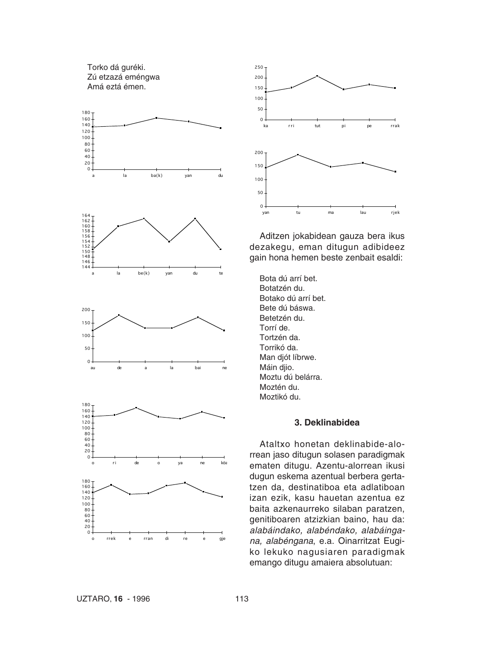Torko dá guréki. Zú etzazá eméngwa Amá eztá émen.





Aditzen jokabidean gauza bera ikus dezakegu, eman ditugun adibideez gain hona hemen beste zenbait esaldi:

Bota dú arrí bet. Botatzén du. Botako dú arrí bet. Bete dú báswa. Betetzén du. Torrí de. Tortzén da. Torrikó da. Man djót líbrwe. Máin djio. Moztu dú belárra. Moztén du. Moztikó du.

#### **3. Deklinabidea**

Ataltxo honetan deklinabide-alorrean jaso ditugun solasen paradigmak ematen ditugu. Azentu-alorrean ikusi dugun eskema azentual berbera gertatzen da, destinatiboa eta adlatiboan izan ezik, kasu hauetan azentua ez baita azkenaurreko silaban paratzen, genitiboaren atzizkian baino, hau da: *alabáindako, alabéndako, alabáingana, alabéngana*, e.a. Oinarritzat Eugiko lekuko nagusiaren paradigmak emango ditugu amaiera absolutuan: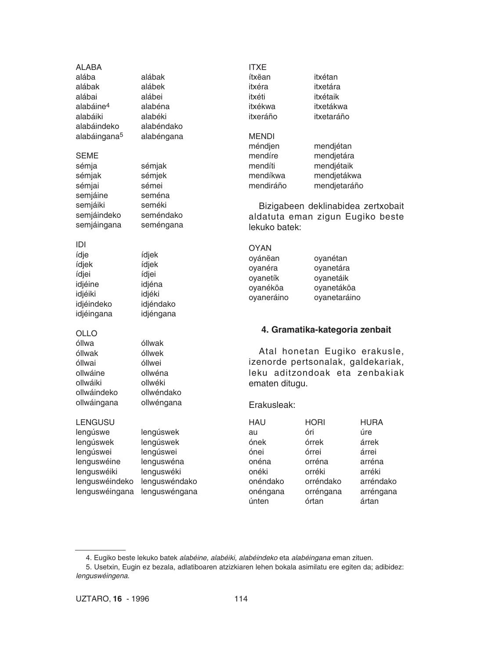ALABA

alába alábak alábak alábek alábai alábei alabáine4 alabéna alabáiki alabéki alabáindeko alabéndako alabáingana5 alabéngana

#### SEME

sémja sémjak sémjak sémjek sémjai sémei semjáine seména semjáiki seméki semjáindeko seméndako semjáingana seméngana

#### IDI

ídje ídjek ídjek ídjek ídjei ídjei idjéine idjéna idjéiki idjéki idjéindeko idjéndako idjéingana idjéngana

#### OLLO

óllwa óllwak óllwak óllwek óllwai óllwei ollwáine ollwéna ollwáiki ollwéki ollwáindeko ollwéndako ollwáingana ollwéngana

#### LENGUSU

lengúswe lengúswek lengúswek lengúswek lengúswei lengúswei lenguswéine lenguswéna lenguswéiki lenguswéki lenguswéindeko lenguswéndako lenguswéingana lenguswéngana ITXE ítxëan itxétan itxéra itxetára itxéti itxétaik itxékwa itxetákwa itxeráño itxetaráño

**MENDI** méndjen mendjétan mendíre mendjetára mendíti mendjétaik mendíkwa mendjetákwa mendiráño mendjetaráño

Bizigabeen deklinabidea zertxobait aldatuta eman zigun Eugiko beste lekuko batek:

| <b>OYAN</b> |              |
|-------------|--------------|
| ovánëan     | ovanétan     |
| ovanéra     | oyanetára    |
| ovanetík    | ovanetáik    |
| oyanéköa    | ovanetáköa   |
| oyaneráino  | oyanetaráino |

#### **4. Gramatika-kategoria zenbait**

Atal honetan Eugiko erakusle, izenorde pertsonalak, galdekariak, leku aditzondoak eta zenbakiak ematen ditugu.

#### Erakusleak:

| <b>HORI</b> | <b>HURA</b> |
|-------------|-------------|
| óri         | úre         |
| órrek       | árrek       |
| órrei       | árrei       |
| orréna      | arréna      |
| orréki      | arréki      |
| orréndako   | arréndako   |
| orréngana   | arréngana   |
| órtan       | ártan       |
|             |             |

<sup>4.</sup> Eugiko beste lekuko batek *alabéine, alabéiki, alabéindeko* eta *alabéingana* eman zituen.

<sup>5.</sup> Usetxin, Eugin ez bezala, adlatiboaren atzizkiaren lehen bokala asimilatu ere egiten da; adibidez: *lenguswéingena*.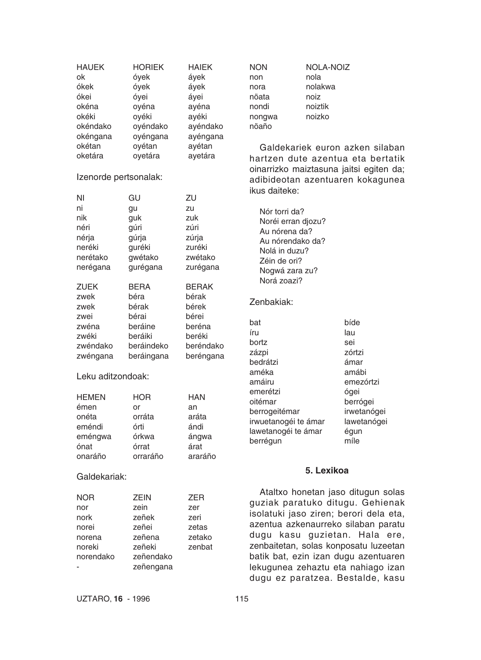| <b>HAUEK</b><br>ok<br>ókek<br>ókei<br>okéna<br>okéki<br>okéndako | <b>HORIEK</b><br>óyek<br>óyek<br>óyei<br>oyéna<br>oyéki<br>oyéndako | <b>HAIEK</b><br>áyek<br>áyek<br>áyei<br>ayéna<br>ayéki<br>ayéndako | <b>NON</b><br>non<br>nora<br>nöata<br>nondi<br>nongwa<br>nöaño | <b>NOLA-NOIZ</b><br>nola<br>nolakwa<br>noiz<br>noiztik<br>noizko |                                                                             |
|------------------------------------------------------------------|---------------------------------------------------------------------|--------------------------------------------------------------------|----------------------------------------------------------------|------------------------------------------------------------------|-----------------------------------------------------------------------------|
| okéngana<br>okétan                                               | oyéngana<br>oyétan                                                  | ayéngana<br>ayétan                                                 |                                                                |                                                                  | Galdekariek euron azken silaban                                             |
| oketára                                                          | oyetára                                                             | ayetára                                                            |                                                                |                                                                  | hartzen dute azentua eta bertatik                                           |
| Izenorde pertsonalak:                                            |                                                                     |                                                                    | ikus daiteke:                                                  |                                                                  | oinarrizko maiztasuna jaitsi egiten da;<br>adibideotan azentuaren kokagunea |
| ΝI                                                               | GU                                                                  | ZU                                                                 |                                                                |                                                                  |                                                                             |
| ni                                                               | gu                                                                  | zu                                                                 | Nór torri da?                                                  |                                                                  |                                                                             |
| nik                                                              | guk                                                                 | zuk                                                                | Noréi erran djozu?                                             |                                                                  |                                                                             |
| néri                                                             | gúri                                                                | zúri                                                               | Au nórena da?                                                  |                                                                  |                                                                             |
| nérja                                                            | gúrja                                                               | zúrja                                                              | Au nórendako da?                                               |                                                                  |                                                                             |
| neréki                                                           | guréki                                                              | zuréki                                                             | Nolá in duzu?                                                  |                                                                  |                                                                             |
| nerétako                                                         | gwétako                                                             | zwétako                                                            | Zéin de ori?                                                   |                                                                  |                                                                             |
| nerégana                                                         | gurégana                                                            | zurégana                                                           | Nogwá zara zu?                                                 |                                                                  |                                                                             |
| <b>ZUEK</b>                                                      | <b>BERA</b>                                                         | <b>BERAK</b>                                                       | Norá zoazi?                                                    |                                                                  |                                                                             |
| zwek                                                             | béra                                                                | bérak                                                              | Zenbakiak:                                                     |                                                                  |                                                                             |
| zwek                                                             | bérak                                                               | bérek                                                              |                                                                |                                                                  |                                                                             |
| zwei                                                             | bérai                                                               | bérei                                                              | bat                                                            |                                                                  | bíde                                                                        |
| zwéna                                                            | beráine                                                             | beréna                                                             | íru                                                            |                                                                  | lau                                                                         |
| zwéki                                                            | beráiki                                                             | beréki                                                             | bortz                                                          |                                                                  | sei                                                                         |
| zwéndako                                                         | beráindeko                                                          | beréndako                                                          | zázpi                                                          |                                                                  | zórtzi                                                                      |
| zwéngana                                                         | beráingana                                                          | beréngana                                                          | bedrátzi                                                       |                                                                  | ámar                                                                        |
| Leku aditzondoak:                                                |                                                                     |                                                                    | améka<br>amáiru                                                |                                                                  | amábi<br>emezórtzi                                                          |
| <b>HEMEN</b>                                                     | <b>HOR</b>                                                          | <b>HAN</b>                                                         | emerétzi<br>oitémar                                            |                                                                  | ógei<br>berrógei                                                            |
| émen                                                             | or                                                                  | an                                                                 | berrogeitémar                                                  |                                                                  | irwetanógei                                                                 |
| onéta                                                            | orráta                                                              | aráta                                                              | irwuetanogéi te ámar                                           |                                                                  | lawetanógei                                                                 |
| eméndi                                                           | órti                                                                | ándi                                                               | lawetanogéi te ámar                                            |                                                                  | égun                                                                        |
| eméngwa                                                          | órkwa                                                               | ángwa                                                              | berrégun                                                       |                                                                  | míle                                                                        |
| ónat                                                             | órrat                                                               | árat                                                               |                                                                |                                                                  |                                                                             |
| onaráño                                                          | orraráño                                                            | araráño                                                            |                                                                |                                                                  |                                                                             |
| Galdekariak:                                                     |                                                                     |                                                                    |                                                                | 5. Lexikoa                                                       |                                                                             |
|                                                                  |                                                                     |                                                                    |                                                                |                                                                  | Ataltxo honetan jaso ditugun solas                                          |
| <b>NOR</b><br>nor                                                | ZEIN<br>zein                                                        | <b>ZER</b><br>zer                                                  |                                                                |                                                                  | guziak paratuko ditugu. Gehienak                                            |
| nork                                                             | zeñek                                                               | zeri                                                               |                                                                |                                                                  | isolatuki jaso ziren; berori dela eta,                                      |
| norei                                                            | zeñei                                                               | zetas                                                              |                                                                |                                                                  | azentua azkenaurreko silaban paratu                                         |
| norena                                                           | zeñena                                                              | zetako                                                             |                                                                |                                                                  | dugu kasu guzietan. Hala ere,                                               |
| noreki                                                           | zeñeki                                                              | zenbat                                                             |                                                                |                                                                  | zenbaitetan, solas konposatu luzeetan                                       |
| norendako                                                        | zeñendako                                                           |                                                                    |                                                                |                                                                  | batik bat, ezin izan dugu azentuaren                                        |
|                                                                  | zeñengana                                                           |                                                                    |                                                                |                                                                  | lekugunea zehaztu eta nahiago izan                                          |
|                                                                  |                                                                     |                                                                    |                                                                |                                                                  | dugu ez paratzea. Bestalde, kasu                                            |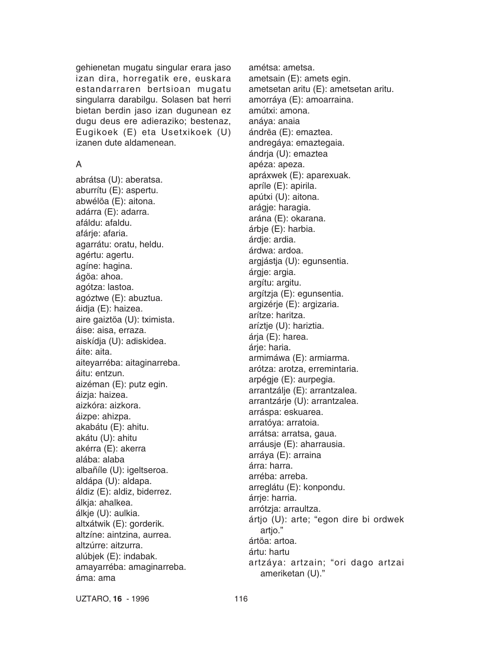gehienetan mugatu singular erara jaso izan dira, horregatik ere, euskara estandarraren bertsioan mugatu singularra darabilgu. Solasen bat herri bietan berdin jaso izan dugunean ez dugu deus ere adieraziko; bestenaz, Eugikoek (E) eta Usetxikoek (U) izanen dute aldamenean.

## A

abrátsa (U): aberatsa. aburrítu (E): aspertu. abwélöa (E): aitona. adárra (E): adarra. afáldu: afaldu. afárje: afaria. agarrátu: oratu, heldu. agértu: agertu. agíne: hagina. ágöa: ahoa. agótza: lastoa. agóztwe (E): abuztua. áidja (E): haizea. aire gaiztöa (U): tximista. áise: aisa, erraza. aiskídja (U): adiskidea. áite: aita. aiteyarréba: aitaginarreba. áitu: entzun. aizéman (E): putz egin. áizja: haizea. aizkóra: aizkora. áizpe: ahizpa. akabátu (E): ahitu. akátu (U): ahitu akérra (E): akerra alába: alaba albañíle (U): igeltseroa. aldápa (U): aldapa. áldiz (E): aldiz, biderrez. álkja: ahalkea. álkje (U): aulkia. altxátwik (E): gorderik. altzíne: aintzina, aurrea. altzúrre: aitzurra. alúbjek (E): indabak. amayarréba: amaginarreba. áma: ama

amétsa: ametsa. ametsain (E): amets egin. ametsetan aritu (E): ametsetan aritu. amorráya (E): amoarraina. amútxi: amona. anáya: anaia ándrëa (E): emaztea. andregáya: emaztegaia. ándrja (U): emaztea apéza: apeza. apráxwek (E): aparexuak. apríle (E): apirila. apútxi (U): aitona. arágje: haragia. arána (E): okarana. árbje (E): harbia. árdje: ardia. árdwa: ardoa. argjástja (U): egunsentia. árgje: argia. argítu: argitu. argítzja (E): egunsentia. argizérje (E): argizaria. arítze: haritza. aríztje (U): hariztia. árja (E): harea. árje: haria. armimáwa (E): armiarma. arótza: arotza, erremintaria. arpégje (E): aurpegia. arrantzálje (E): arrantzalea. arrantzárje (U): arrantzalea. arráspa: eskuarea. arratóya: arratoia. arrátsa: arratsa, gaua. arráusje (E): aharrausia. arráya (E): arraina árra: harra. arréba: arreba. arreglátu (E): konpondu. árrje: harria. arrótzja: arraultza. ártjo (U): arte; "egon dire bi ordwek artio." ártöa: artoa. ártu: hartu artzáya: artzain; "ori dago artzai ameriketan (U)."

UZTARO, **16** - 1996 116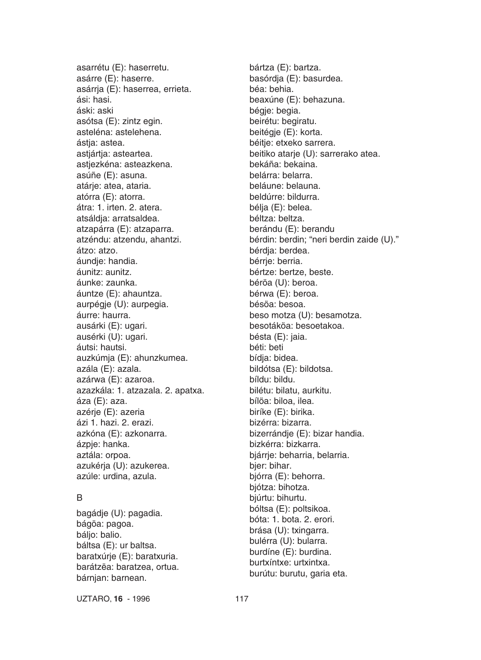asarrétu (E): haserretu. asárre (E): haserre. asárrja (E): haserrea, errieta. ási: hasi. áski: aski asótsa (E): zintz egin. asteléna: astelehena. ástia: astea. astjártja: asteartea. astjezkéna: asteazkena. asúñe (E): asuna. atárje: atea, ataria. atórra (E): atorra. átra: 1. irten. 2. atera. atsáldja: arratsaldea. atzapárra (E): atzaparra. atzéndu: atzendu, ahantzi. átzo: atzo. áundie: handia. áunitz: aunitz. áunke: zaunka. áuntze (E): ahauntza. aurpégje (U): aurpegia. áurre: haurra. ausárki (E): ugari. ausérki (U): ugari. áutsi: hautsi. auzkúmja (E): ahunzkumea. azála (E): azala. azárwa (E): azaroa. azazkála: 1. atzazala. 2. apatxa. áza (E): aza. azérje (E): azeria ázi 1. hazi. 2. erazi. azkóna (E): azkonarra. ázpje: hanka. aztála: orpoa. azukérja (U): azukerea. azúle: urdina, azula.

# B

bagádje (U): pagadia. bágöa: pagoa. báljo: balio. báltsa (E): ur baltsa. baratxúrje (E): baratxuria. barátzëa: baratzea, ortua. bárnjan: barnean.

bártza (E): bartza. basórdja (E): basurdea. béa: behia. beaxúne (E): behazuna. bégje: begia. beirétu: begiratu. beitégje (E): korta. béitje: etxeko sarrera. beitiko atarje (U): sarrerako atea. bekáña: bekaina. belárra: belarra. beláune: belauna. beldúrre: bildurra. bélja (E): belea. béltza: beltza. berándu (E): berandu bérdin: berdin; "neri berdin zaide (U)." bérdja: berdea. bérrie: berria. bértze: bertze, beste. béröa (U): beroa. bérwa (E): beroa. bésöa: besoa. beso motza (U): besamotza. besotáköa: besoetakoa. bésta (E): jaia. béti: beti bídja: bidea. bildótsa (E): bildotsa. bíldu: bildu. bilétu: bilatu, aurkitu. bílöa: biloa, ilea. biríke (E): birika. bizérra: bizarra. bizerrándje (E): bizar handia. bizkérra: bizkarra. bjárrje: beharria, belarria. bjer: bihar. bjórra (E): behorra. bjótza: bihotza. bjúrtu: bihurtu. bóltsa (E): poltsikoa. bóta: 1. bota. 2. erori. brása (U): txingarra. bulérra (U): bularra. burdíne (E): burdina. burtxíntxe: urtxintxa. burútu: burutu, garia eta.

UZTARO, **16** - 1996 117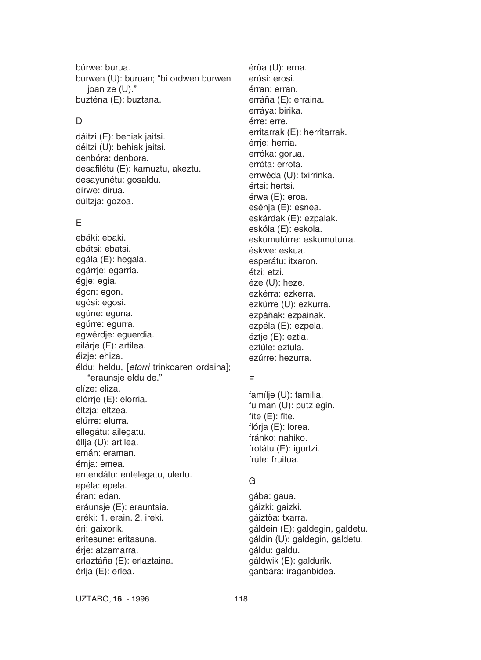búrwe: burua. burwen (U): buruan; "bi ordwen burwen joan ze (U)." buzténa (E): buztana.

#### D.

dáitzi (E): behiak jaitsi. déitzi (U): behiak jaitsi. denbóra: denbora. desafilétu (E): kamuztu, akeztu. desayunétu: gosaldu. dírwe: dirua. dúltzja: gozoa.

## E

ebáki: ebaki. ebátsi: ebatsi. egála (E): hegala. egárrje: egarria. égje: egia. égon: egon. egósi: egosi. egúne: eguna. egúrre: egurra. egwérdje: eguerdia. eilárje (E): artilea. éizje: ehiza. éldu: heldu, [*etorri* trinkoaren ordaina]; "eraunsje eldu de." elíze: eliza. elórrje (E): elorria. éltzja: eltzea. elúrre: elurra. ellegátu: ailegatu. éllja (U): artilea. emán: eraman. émja: emea. entendátu: entelegatu, ulertu. epéla: epela. éran: edan. eráunsje (E): erauntsia. eréki: 1. erain. 2. ireki. éri: gaixorik. eritesune: eritasuna. érje: atzamarra. erlaztáña (E): erlaztaina. érlja (E): erlea.

éröa (U): eroa. erósi: erosi. érran: erran. erráña (E): erraina. erráya: birika. érre: erre. erritarrak (E): herritarrak. érrje: herria. erróka: gorua. erróta: errota. errwéda (U): txirrinka. értsi: hertsi. érwa (E): eroa. esénja (E): esnea. eskárdak (E): ezpalak. eskóla (E): eskola. eskumutúrre: eskumuturra. éskwe: eskua. esperátu: itxaron. étzi: etzi. éze (U): heze. ezkérra: ezkerra. ezkúrre (U): ezkurra. ezpáñak: ezpainak. ezpéla (E): ezpela. éztje (E): eztia. eztúle: eztula. ezúrre: hezurra.

# F

famílje (U): familia. fu man (U): putz egin. fíte (E): fite. flórja (E): lorea. fránko: nahiko. frotátu (E): igurtzi. frúte: fruitua.

## G

gába: gaua. gáizki: gaizki. gáiztöa: txarra. gáldein (E): galdegin, galdetu. gáldin (U): galdegin, galdetu. gáldu: galdu. gáldwik (E): galdurik. ganbára: iraganbidea.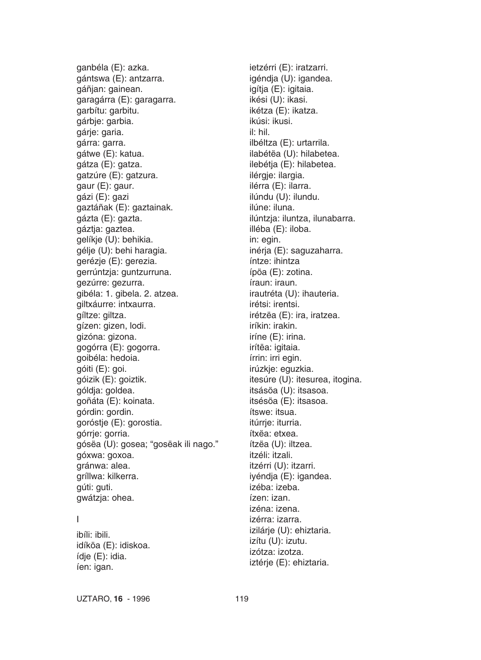ganbéla (E): azka. gántswa (E): antzarra. gáñjan: gainean. garagárra (E): garagarra. garbítu: garbitu. gárbje: garbia. gárje: garia. gárra: garra. gátwe (E): katua. gátza (E): gatza. gatzúre (E): gatzura. gaur (E): gaur. gázi (E): gazi gaztáñak (E): gaztainak. gázta (E): gazta. gáztja: gaztea. gelíkje (U): behikia. gélje (U): behi haragia. gerézje (E): gerezia. gerrúntzja: guntzurruna. gezúrre: gezurra. gibéla: 1. gibela. 2. atzea. giltxáurre: intxaurra. gíltze: giltza. gízen: gizen, lodi. gizóna: gizona. gogórra (E): gogorra. goibéla: hedoia. góiti (E): goi. góizik (E): goiztik. góldja: goldea. goñáta (E): koinata. górdin: gordin. goróstje (E): gorostia. górrje: gorria. gósëa (U): gosea; "gosëak ili nago." góxwa: goxoa. gránwa: alea. gríllwa: kilkerra. gúti: guti. gwátzja: ohea.

## I

ibíli: ibili. idíköa (E): idiskoa. ídje (E): idia. íen: igan.

ietzérri (E): iratzarri. igéndja (U): igandea. igítja (E): igitaia. ikési (U): ikasi. ikétza (E): ikatza. ikúsi: ikusi. il: hil. ilbéltza (E): urtarrila. ilabétëa (U): hilabetea. ilebétja (E): hilabetea. ilérgje: ilargia. ilérra (E): ilarra. ilúndu (U): ilundu. ilúne: iluna. ilúntzja: iluntza, ilunabarra. illéba (E): iloba. in: egin. inérja (E): saguzaharra. íntze: ihintza ípöa (E): zotina. íraun: iraun. irautréta (U): ihauteria. irétsi: irentsi. irétzëa (E): ira, iratzea. iríkin: irakin. iríne (E): irina. irítëa: igitaia. írrin: irri egin. irúzkje: eguzkia. itesúre (U): itesurea, itogina. itsásöa (U): itsasoa. itsésöa (E): itsasoa. ítswe: itsua. itúrrie: iturria. ítxëa: etxea. ítzëa (U): iltzea. itzéli: itzali. itzérri (U): itzarri. iyéndja (E): igandea. izéba: izeba. ízen: izan. izéna: izena. izérra: izarra. izilárje (U): ehiztaria. izítu (U): izutu. izótza: izotza. iztérje (E): ehiztaria.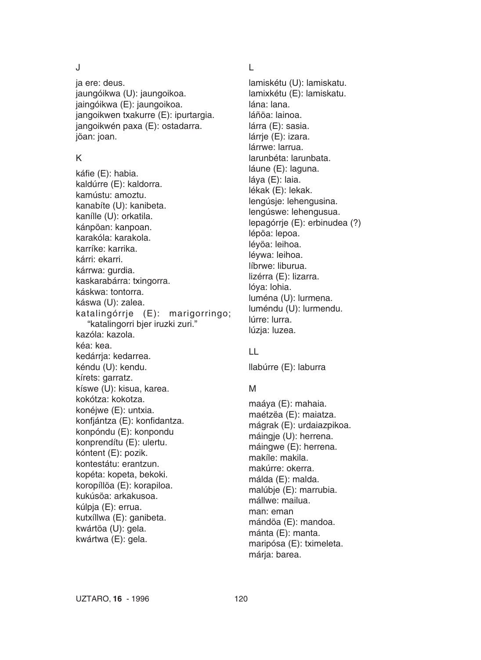J

ja ere: deus. jaungóikwa (U): jaungoikoa. jaingóikwa (E): jaungoikoa. jangoikwen txakurre (E): ipurtargia. jangoikwén paxa (E): ostadarra. jöan: joan.

## K

káfie (E): habia. kaldúrre (E): kaldorra. kamústu: amoztu. kanabíte (U): kanibeta. kanílle (U): orkatila. kánpöan: kanpoan. karakóla: karakola. karríke: karrika. kárri: ekarri. kárrwa: gurdia. kaskarabárra: txingorra. káskwa: tontorra. káswa (U): zalea. katalingórrje (E): marigorringo; "katalingorri bjer iruzki zuri." kazóla: kazola. kéa: kea. kedárria: kedarrea. kéndu (U): kendu. kírets: garratz. kíswe (U): kisua, karea. kokótza: kokotza. konéjwe (E): untxia. konfjántza (E): konfidantza. konpóndu (E): konpondu konprendítu (E): ulertu. kóntent (E): pozik. kontestátu: erantzun. kopéta: kopeta, bekoki. koropíllöa (E): korapiloa. kukúsöa: arkakusoa. kúlpja (E): errua. kutxíllwa (E): ganibeta. kwártöa (U): gela. kwártwa (E): gela.

# L

lamiskétu (U): lamiskatu. lamixkétu (E): lamiskatu. lána: lana. láñöa: lainoa. lárra (E): sasia. lárrie (E): izara. lárrwe: larrua. larunbéta: larunbata. láune (E): laguna. láya (E): laia. lékak (E): lekak. lengúsje: lehengusina. lengúswe: lehengusua. lepagórrje (E): erbinudea (?) lépöa: lepoa. léyöa: leihoa. léywa: leihoa. líbrwe: liburua. lizérra (E): lizarra. lóya: lohia. luména (U): lurmena. luméndu (U): lurmendu. lúrre: lurra. lúzja: luzea.

# LL

llabúrre (E): laburra

# M

maáya (E): mahaia. maétzëa (E): maiatza. mágrak (E): urdaiazpikoa. máingje (U): herrena. máingwe (E): herrena. makíle: makila. makúrre: okerra. málda (E): malda. malúbje (E): marrubia. mállwe: mailua. man: eman mándöa (E): mandoa. mánta (E): manta. maripósa (E): tximeleta. márja: barea.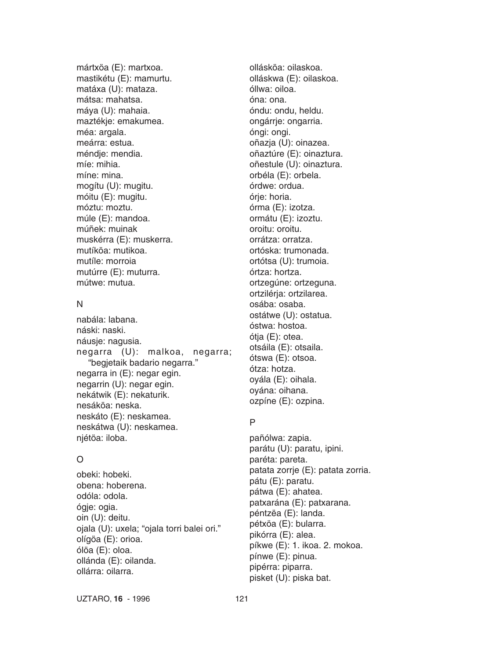mártxöa (E): martxoa. mastikétu (E): mamurtu. matáxa (U): mataza. mátsa: mahatsa. máya (U): mahaia. maztékje: emakumea. méa: argala. meárra: estua. méndje: mendia. míe: mihia. míne: mina. mogítu (U): mugitu. móitu (E): mugitu. móztu: moztu. múle (E): mandoa. múñek: muinak muskérra (E): muskerra. mutíköa: mutikoa. mutíle: morroia mutúrre (E): muturra. mútwe: mutua.

#### N

nabála: labana. náski: naski. náusje: nagusia. negarra (U): malkoa, negarra; "begjetaik badario negarra." negarra in (E): negar egin. negarrin (U): negar egin. nekátwik (E): nekaturik. nesáköa: neska. neskáto (E): neskamea. neskátwa (U): neskamea. njétöa: iloba.

# O

obeki: hobeki. obena: hoberena. odóla: odola. ógje: ogia. oin (U): deitu. ojala (U): uxela; "ojala torri balei ori." olígöa (E): orioa. ólöa (E): oloa. ollánda (E): oilanda. ollárra: oilarra.

ollásköa: oilaskoa. olláskwa (E): oilaskoa. óllwa: oiloa. óna: ona. óndu: ondu, heldu. ongárrje: ongarria. óngi: ongi. oñazja (U): oinazea. oñaztúre (E): oinaztura. oñestule (U): oinaztura. orbéla (E): orbela. órdwe: ordua. órje: horia. órma (E): izotza. ormátu (E): izoztu. oroitu: oroitu. orrátza: orratza. ortóska: trumonada. ortótsa (U): trumoia. órtza: hortza. ortzegúne: ortzeguna. ortzilérja: ortzilarea. osába: osaba. ostátwe (U): ostatua. óstwa: hostoa. ótja (E): otea. otsáila (E): otsaila. ótswa (E): otsoa. ótza: hotza. oyála (E): oihala. oyána: oihana. ozpíne (E): ozpina.

# P

pañólwa: zapia. parátu (U): paratu, ipini. paréta: pareta. patata zorrje (E): patata zorria. pátu (E): paratu. pátwa (E): ahatea. patxarána (E): patxarana. péntzëa (E): landa. pétxöa (E): bularra. pikórra (E): alea. píkwe (E): 1. ikoa. 2. mokoa. pínwe (E): pinua. pipérra: piparra. pisket (U): piska bat.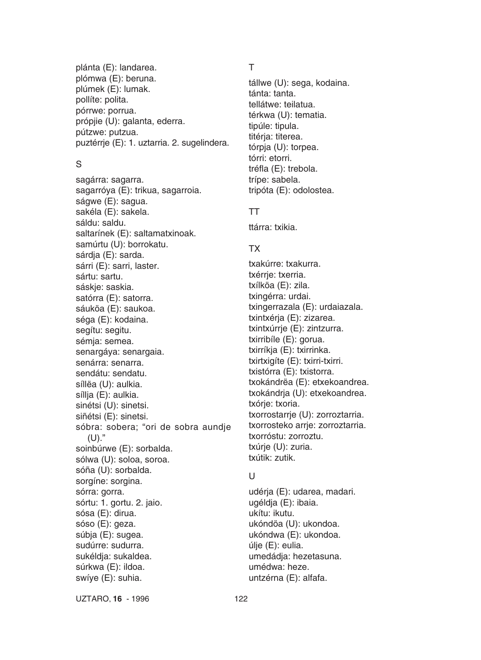plánta (E): landarea. plómwa (E): beruna. plúmek (E): lumak. pollíte: polita. pórrwe: porrua. própjie (U): galanta, ederra. pútzwe: putzua. puztérrje (E): 1. uztarria. 2. sugelindera.

## S

sagárra: sagarra. sagarróya (E): trikua, sagarroia. ságwe (E): sagua. sakéla (E): sakela. sáldu: saldu. saltarínek (E): saltamatxinoak. samúrtu (U): borrokatu. sárdja (E): sarda. sárri (E): sarri, laster. sártu: sartu. sáskje: saskia. satórra (E): satorra. sáuköa (E): saukoa. séga (E): kodaina. segítu: segitu. sémja: semea. senargáya: senargaia. senárra: senarra. sendátu: sendatu. síllëa (U): aulkia. síllja (E): aulkia. sinétsi (U): sinetsi. siñétsi (E): sinetsi. sóbra: sobera; "ori de sobra aundje  $(U)$ ." soinbúrwe (E): sorbalda. sólwa (U): soloa, soroa. sóña (U): sorbalda. sorgíne: sorgina. sórra: gorra. sórtu: 1. gortu. 2. jaio. sósa (E): dirua. sóso (E): geza. súbja (E): sugea. sudúrre: sudurra. sukéldja: sukaldea. súrkwa (E): ildoa. swíye (E): suhia.

# T

tállwe (U): sega, kodaina. tánta: tanta. tellátwe: teilatua. térkwa (U): tematia. tipúle: tipula. titérja: titerea. tórpja (U): torpea. tórri: etorri. tréfla (E): trebola. trípe: sabela. tripóta (E): odolostea.

# TT

ttárra: txikia.

# TX

txakúrre: txakurra. txérrje: txerria. txílköa (E): zila. txingérra: urdai. txingerrazala (E): urdaiazala. txintxérja (E): zizarea. txintxúrrje (E): zintzurra. txirribíle (E): gorua. txirríkja (E): txirrinka. txirtxigíte (E): txirri-txirri. txistórra (E): txistorra. txokándrëa (E): etxekoandrea. txokándrja (U): etxekoandrea. txórje: txoria. txorrostarrje (U): zorroztarria. txorrosteko arrie: zorroztarria. txorróstu: zorroztu. txúrje (U): zuria. txútik: zutik.

# $\mathbf{U}$

udérja (E): udarea, madari. ugéldja (E): ibaia. ukítu: ikutu. ukóndöa (U): ukondoa. ukóndwa (E): ukondoa. úlje (E): eulia. umedádja: hezetasuna. umédwa: heze. untzérna (E): alfafa.

UZTARO, **16** - 1996 122